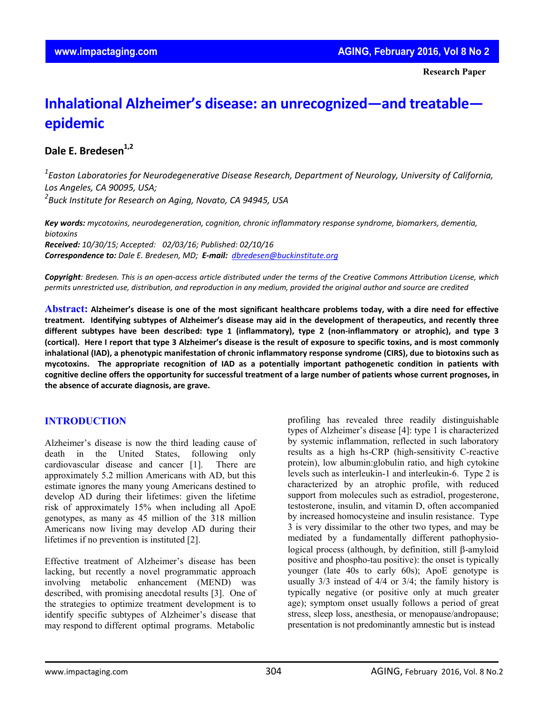**Research Paper**

# **Inhalational Alzheimer's disease: an unrecognized—and treatable epidemic**

## **Dale E. Bredesen**<sup>1,2</sup>

*1 Easton Laboratories for Neurodegenerative Disease Research, Department of Neurology, University of California, Los Angeles, CA 90095, USA; 2 Buck Institute for Research on Aging, Novato, CA 94945, USA*

*Key words: mycotoxins, neurodegeneration, cognition, chronic inflammatory response syndrome, biomarkers, dementia, biotoxins Received: 10/30/15; Accepted: 02/03/16; Published: 02/10/16 Correspondence to: Dale E. Bredesen, MD; E‐mail: dbredesen@buckinstitute.org*

Copyright: Bredesen. This is an open-access article distributed under the terms of the Creative Commons Attribution License, which permits unrestricted use, distribution, and reproduction in any medium, provided the original author and source are credited

Abstract: Alzheimer's disease is one of the most significant healthcare problems today, with a dire need for effective treatment. Identifying subtypes of Alzheimer's disease may aid in the development of therapeutics, and recently three different subtypes have been described: type 1 (inflammatory), type 2 (non-inflammatory or atrophic), and type 3 (cortical). Here I report that type 3 Alzheimer's disease is the result of exposure to specific toxins, and is most commonly inhalational (IAD), a phenotypic manifestation of chronic inflammatory response syndrome (CIRS), due to biotoxins such as mycotoxins. The appropriate recognition of IAD as a potentially important pathogenetic condition in patients with cognitive decline offers the opportunity for successful treatment of a large number of patients whose current prognoses, in **the absence of accurate diagnosis, are grave.**

## **INTRODUCTION**

Alzheimer's disease is now the third leading cause of death in the United States, following only cardiovascular disease and cancer [1]. There are approximately 5.2 million Americans with AD, but this estimate ignores the many young Americans destined to develop AD during their lifetimes: given the lifetime risk of approximately 15% when including all ApoE genotypes, as many as 45 million of the 318 million Americans now living may develop AD during their lifetimes if no prevention is instituted [2].

Effective treatment of Alzheimer's disease has been lacking, but recently a novel programmatic approach involving metabolic enhancement (MEND) was described, with promising anecdotal results [3]. One of the strategies to optimize treatment development is to identify specific subtypes of Alzheimer's disease that may respond to different optimal programs. Metabolic

profiling has revealed three readily distinguishable types of Alzheimer's disease [4]: type 1 is characterized by systemic inflammation, reflected in such laboratory results as a high hs-CRP (high-sensitivity C-reactive protein), low albumin:globulin ratio, and high cytokine levels such as interleukin-1 and interleukin-6. Type 2 is characterized by an atrophic profile, with reduced support from molecules such as estradiol, progesterone, testosterone, insulin, and vitamin D, often accompanied by increased homocysteine and insulin resistance. Type 3 is very dissimilar to the other two types, and may be mediated by a fundamentally different pathophysiological process (although, by definition, still β-amyloid positive and phospho-tau positive): the onset is typically younger (late 40s to early 60s); ApoE genotype is usually 3/3 instead of 4/4 or 3/4; the family history is typically negative (or positive only at much greater age); symptom onset usually follows a period of great stress, sleep loss, anesthesia, or menopause/andropause; presentation is not predominantly amnestic but is instead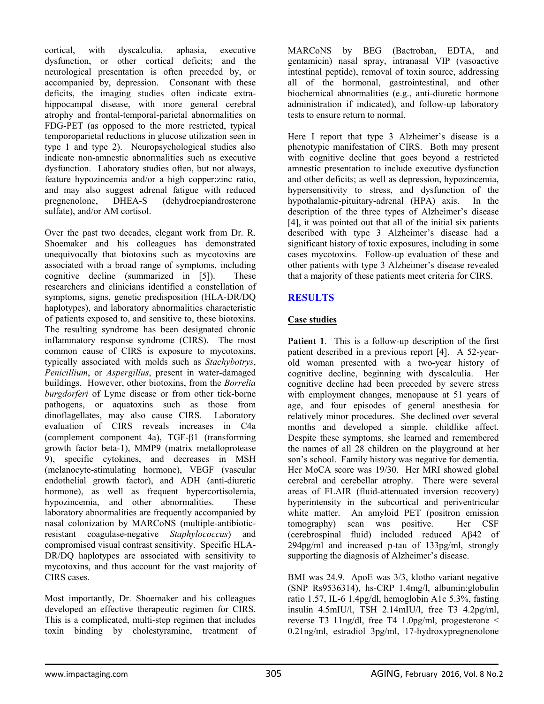cortical, with dyscalculia, aphasia, executive dysfunction, or other cortical deficits; and the neurological presentation is often preceded by, or accompanied by, depression. Consonant with these deficits, the imaging studies often indicate extrahippocampal disease, with more general cerebral atrophy and frontal-temporal-parietal abnormalities on FDG-PET (as opposed to the more restricted, typical temporoparietal reductions in glucose utilization seen in type 1 and type 2). Neuropsychological studies also indicate non-amnestic abnormalities such as executive dysfunction. Laboratory studies often, but not always, feature hypozincemia and/or a high copper:zinc ratio, and may also suggest adrenal fatigue with reduced pregnenolone, DHEA-S (dehydroepiandrosterone sulfate), and/or AM cortisol.

Over the past two decades, elegant work from Dr. R. Shoemaker and his colleagues has demonstrated unequivocally that biotoxins such as mycotoxins are associated with a broad range of symptoms, including cognitive decline (summarized in [5]). These researchers and clinicians identified a constellation of symptoms, signs, genetic predisposition (HLA-DR/DQ haplotypes), and laboratory abnormalities characteristic of patients exposed to, and sensitive to, these biotoxins. The resulting syndrome has been designated chronic inflammatory response syndrome (CIRS). The most common cause of CIRS is exposure to mycotoxins, typically associated with molds such as *Stachybotrys*, *Penicillium*, or *Aspergillus*, present in water-damaged buildings. However, other biotoxins, from the *Borrelia burgdorferi* of Lyme disease or from other tick-borne pathogens, or aquatoxins such as those from dinoflagellates, may also cause CIRS. Laboratory evaluation of CIRS reveals increases in C4a (complement component 4a), TGF-β1 (transforming growth factor beta-1), MMP9 (matrix metalloprotease 9), specific cytokines, and decreases in MSH (melanocyte-stimulating hormone), VEGF (vascular endothelial growth factor), and ADH (anti-diuretic hormone), as well as frequent hypercortisolemia, hypozincemia, and other abnormalities. These laboratory abnormalities are frequently accompanied by nasal colonization by MARCoNS (multiple-antibioticresistant coagulase-negative *Staphylococcus*) and compromised visual contrast sensitivity. Specific HLA-DR/DQ haplotypes are associated with sensitivity to mycotoxins, and thus account for the vast majority of CIRS cases.

Most importantly, Dr. Shoemaker and his colleagues developed an effective therapeutic regimen for CIRS. This is a complicated, multi-step regimen that includes toxin binding by cholestyramine, treatment of

MARCoNS by BEG (Bactroban, EDTA, and gentamicin) nasal spray, intranasal VIP (vasoactive intestinal peptide), removal of toxin source, addressing all of the hormonal, gastrointestinal, and other biochemical abnormalities (e.g., anti-diuretic hormone administration if indicated), and follow-up laboratory tests to ensure return to normal.

Here I report that type 3 Alzheimer's disease is a phenotypic manifestation of CIRS. Both may present with cognitive decline that goes beyond a restricted amnestic presentation to include executive dysfunction and other deficits; as well as depression, hypozincemia, hypersensitivity to stress, and dysfunction of the hypothalamic-pituitary-adrenal (HPA) axis. In the description of the three types of Alzheimer's disease [4], it was pointed out that all of the initial six patients described with type 3 Alzheimer's disease had a significant history of toxic exposures, including in some cases mycotoxins. Follow-up evaluation of these and other patients with type 3 Alzheimer's disease revealed that a majority of these patients meet criteria for CIRS.

## **RESULTS**

## **Case studies**

**Patient 1**. This is a follow-up description of the first patient described in a previous report [4]. A 52-yearold woman presented with a two-year history of cognitive decline, beginning with dyscalculia. Her cognitive decline had been preceded by severe stress with employment changes, menopause at 51 years of age, and four episodes of general anesthesia for relatively minor procedures. She declined over several months and developed a simple, childlike affect. Despite these symptoms, she learned and remembered the names of all 28 children on the playground at her son's school. Family history was negative for dementia. Her MoCA score was 19/30. Her MRI showed global cerebral and cerebellar atrophy. There were several areas of FLAIR (fluid-attenuated inversion recovery) hyperintensity in the subcortical and periventricular white matter. An amyloid PET (positron emission tomography) scan was positive. Her CSF (cerebrospinal fluid) included reduced Aβ42 of 294pg/ml and increased p-tau of 133pg/ml, strongly supporting the diagnosis of Alzheimer's disease.

BMI was 24.9. ApoE was 3/3, klotho variant negative (SNP Rs9536314), hs-CRP 1.4mg/l, albumin:globulin ratio 1.57, IL-6 1.4pg/dl, hemoglobin A1c 5.3%, fasting insulin 4.5mIU/l, TSH 2.14mIU/l, free T3 4.2pg/ml, reverse T3 11ng/dl, free T4 1.0pg/ml, progesterone < 0.21ng/ml, estradiol 3pg/ml, 17-hydroxypregnenolone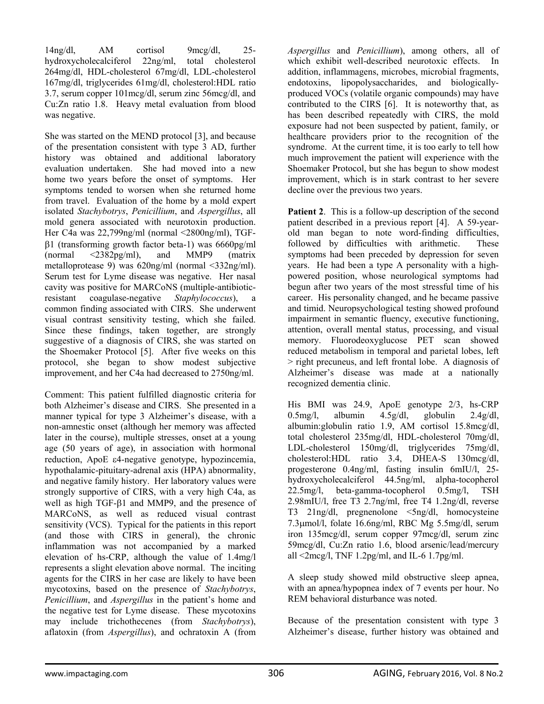14ng/dl, AM cortisol 9mcg/dl, 25 hydroxycholecalciferol 22ng/ml, total cholesterol 264mg/dl, HDL-cholesterol 67mg/dl, LDL-cholesterol 167mg/dl, triglycerides 61mg/dl, cholesterol:HDL ratio 3.7, serum copper 101mcg/dl, serum zinc 56mcg/dl, and Cu:Zn ratio 1.8. Heavy metal evaluation from blood was negative.

She was started on the MEND protocol [3], and because of the presentation consistent with type 3 AD, further history was obtained and additional laboratory evaluation undertaken. She had moved into a new home two years before the onset of symptoms. Her symptoms tended to worsen when she returned home from travel. Evaluation of the home by a mold expert isolated *Stachybotrys*, *Penicillium*, and *Aspergillus*, all mold genera associated with neurotoxin production. Her C4a was 22,799ng/ml (normal <2800ng/ml), TGFβ1 (transforming growth factor beta-1) was 6660pg/ml (normal <2382pg/ml), and MMP9 (matrix metalloprotease 9) was 620ng/ml (normal <332ng/ml). Serum test for Lyme disease was negative. Her nasal cavity was positive for MARCoNS (multiple-antibioticresistant coagulase-negative *Staphylococcus*), a common finding associated with CIRS. She underwent visual contrast sensitivity testing, which she failed. Since these findings, taken together, are strongly suggestive of a diagnosis of CIRS, she was started on the Shoemaker Protocol [5]. After five weeks on this protocol, she began to show modest subjective improvement, and her C4a had decreased to 2750ng/ml.

Comment: This patient fulfilled diagnostic criteria for both Alzheimer's disease and CIRS. She presented in a manner typical for type 3 Alzheimer's disease, with a non-amnestic onset (although her memory was affected later in the course), multiple stresses, onset at a young age (50 years of age), in association with hormonal reduction, ApoE ε4-negative genotype, hypozincemia, hypothalamic-pituitary-adrenal axis (HPA) abnormality, and negative family history. Her laboratory values were strongly supportive of CIRS, with a very high C4a, as well as high TGF-β1 and MMP9, and the presence of MARCoNS, as well as reduced visual contrast sensitivity (VCS). Typical for the patients in this report (and those with CIRS in general), the chronic inflammation was not accompanied by a marked elevation of hs-CRP, although the value of 1.4mg/l represents a slight elevation above normal. The inciting agents for the CIRS in her case are likely to have been mycotoxins, based on the presence of *Stachybotrys*, *Penicillium*, and *Aspergillus* in the patient's home and the negative test for Lyme disease. These mycotoxins may include trichothecenes (from *Stachybotrys*), aflatoxin (from *Aspergillus*), and ochratoxin A (from

*Aspergillus* and *Penicillium*), among others, all of which exhibit well-described neurotoxic effects. In addition, inflammagens, microbes, microbial fragments, endotoxins, lipopolysaccharides, and biologicallyproduced VOCs (volatile organic compounds) may have contributed to the CIRS [6]. It is noteworthy that, as has been described repeatedly with CIRS, the mold exposure had not been suspected by patient, family, or healthcare providers prior to the recognition of the syndrome. At the current time, it is too early to tell how much improvement the patient will experience with the Shoemaker Protocol, but she has begun to show modest improvement, which is in stark contrast to her severe decline over the previous two years.

**Patient 2.** This is a follow-up description of the second patient described in a previous report [4]. A 59-yearold man began to note word-finding difficulties, followed by difficulties with arithmetic. These symptoms had been preceded by depression for seven years. He had been a type A personality with a highpowered position, whose neurological symptoms had begun after two years of the most stressful time of his career. His personality changed, and he became passive and timid. Neuropsychological testing showed profound impairment in semantic fluency, executive functioning, attention, overall mental status, processing, and visual memory. Fluorodeoxyglucose PET scan showed reduced metabolism in temporal and parietal lobes, left > right precuneus, and left frontal lobe. A diagnosis of Alzheimer's disease was made at a nationally recognized dementia clinic.

His BMI was 24.9, ApoE genotype 2/3, hs-CRP  $0.5$ mg/l, albumin  $4.5$ g/dl, globulin  $2.4$ g/dl, albumin:globulin ratio 1.9, AM cortisol 15.8mcg/dl, total cholesterol 235mg/dl, HDL-cholesterol 70mg/dl, LDL-cholesterol 150mg/dl, triglycerides 75mg/dl, cholesterol:HDL ratio 3.4, DHEA-S 130mcg/dl, progesterone 0.4ng/ml, fasting insulin 6mIU/l, 25 hydroxycholecalciferol 44.5ng/ml, alpha-tocopherol 22.5mg/l, beta-gamma-tocopherol 0.5mg/l, TSH 2.98mIU/l, free T3 2.7ng/ml, free T4 1.2ng/dl, reverse T3 21ng/dl, pregnenolone <5ng/dl, homocysteine 7.3μmol/l, folate 16.6ng/ml, RBC Mg 5.5mg/dl, serum iron 135mcg/dl, serum copper 97mcg/dl, serum zinc 59mcg/dl, Cu:Zn ratio 1.6, blood arsenic/lead/mercury all  $\langle 2mcg/1, TNF 1.2pg/ml,$  and IL-6 1.7pg/ml.

A sleep study showed mild obstructive sleep apnea, with an apnea/hypopnea index of 7 events per hour. No REM behavioral disturbance was noted.

Because of the presentation consistent with type 3 Alzheimer's disease, further history was obtained and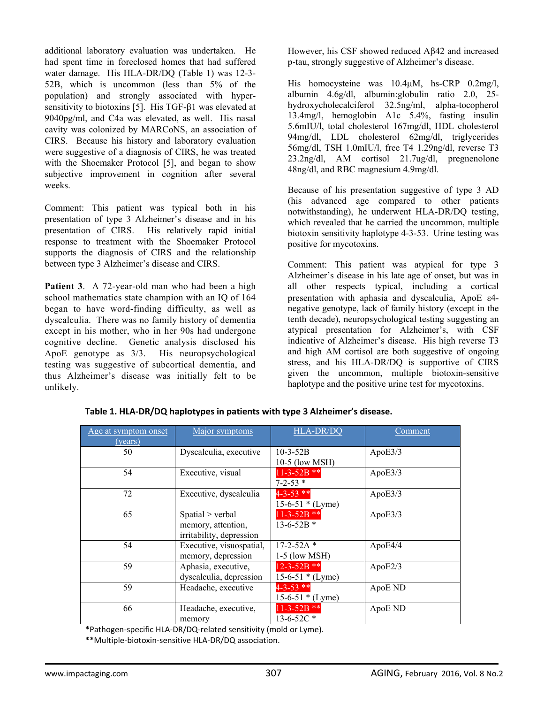additional laboratory evaluation was undertaken. He had spent time in foreclosed homes that had suffered water damage. His HLA-DR/DQ (Table 1) was 12-3- 52B, which is uncommon (less than 5% of the population) and strongly associated with hypersensitivity to biotoxins [5]. His TGF-β1 was elevated at 9040pg/ml, and C4a was elevated, as well. His nasal cavity was colonized by MARCoNS, an association of CIRS. Because his history and laboratory evaluation were suggestive of a diagnosis of CIRS, he was treated with the Shoemaker Protocol [5], and began to show subjective improvement in cognition after several weeks.

Comment: This patient was typical both in his presentation of type 3 Alzheimer's disease and in his presentation of CIRS. His relatively rapid initial response to treatment with the Shoemaker Protocol supports the diagnosis of CIRS and the relationship between type 3 Alzheimer's disease and CIRS.

**Patient 3**. A 72-year-old man who had been a high school mathematics state champion with an IQ of 164 began to have word-finding difficulty, as well as dyscalculia. There was no family history of dementia except in his mother, who in her 90s had undergone cognitive decline. Genetic analysis disclosed his ApoE genotype as 3/3. His neuropsychological testing was suggestive of subcortical dementia, and thus Alzheimer's disease was initially felt to be unlikely.

However, his CSF showed reduced Aβ42 and increased p-tau, strongly suggestive of Alzheimer's disease.

His homocysteine was 10.4μM, hs-CRP 0.2mg/l, albumin 4.6g/dl, albumin:globulin ratio 2.0, 25 hydroxycholecalciferol 32.5ng/ml, alpha-tocopherol 13.4mg/l, hemoglobin A1c 5.4%, fasting insulin 5.6mIU/l, total cholesterol 167mg/dl, HDL cholesterol 94mg/dl, LDL cholesterol 62mg/dl, triglycerides 56mg/dl, TSH 1.0mIU/l, free T4 1.29ng/dl, reverse T3 23.2ng/dl, AM cortisol 21.7ug/dl, pregnenolone 48ng/dl, and RBC magnesium 4.9mg/dl.

Because of his presentation suggestive of type 3 AD (his advanced age compared to other patients notwithstanding), he underwent HLA-DR/DQ testing, which revealed that he carried the uncommon, multiple biotoxin sensitivity haplotype 4-3-53. Urine testing was positive for mycotoxins.

Comment: This patient was atypical for type 3 Alzheimer's disease in his late age of onset, but was in all other respects typical, including a cortical presentation with aphasia and dyscalculia, ApoE ε4 negative genotype, lack of family history (except in the tenth decade), neuropsychological testing suggesting an atypical presentation for Alzheimer's, with CSF indicative of Alzheimer's disease. His high reverse T3 and high AM cortisol are both suggestive of ongoing stress, and his HLA-DR/DQ is supportive of CIRS given the uncommon, multiple biotoxin-sensitive haplotype and the positive urine test for mycotoxins.

| Age at symptom onset<br>(years) | Major symptoms                                                     | <b>HLA-DR/DQ</b>                        | Comment |
|---------------------------------|--------------------------------------------------------------------|-----------------------------------------|---------|
| 50                              | Dyscalculia, executive                                             | $10-3-52B$<br>10-5 (low MSH)            | ApoE3/3 |
| 54                              | Executive, visual                                                  | $11 - 3 - 52B$ **<br>$7 - 2 - 53$ *     | ApoE3/3 |
| 72                              | Executive, dyscalculia                                             | $4 - 3 - 53$ **<br>$15-6-51 * (Lyme)$   | ApoE3/3 |
| 65                              | Spatial > verbal<br>memory, attention,<br>irritability, depression | $11-3-52B$ **<br>$13-6-52B$ *           | ApoE3/3 |
| 54                              | Executive, visuospatial,<br>memory, depression                     | $17 - 2 - 52A$ *<br>$1-5$ (low MSH)     | ApoE4/4 |
| 59                              | Aphasia, executive,<br>dyscalculia, depression                     | $12 - 3 - 52B$ **<br>$15-6-51 * (Lyme)$ | ApoE2/3 |
| 59                              | Headache, executive                                                | $4 - 3 - 53$ **<br>$15-6-51 * (Lyme)$   | ApoE ND |
| 66                              | Headache, executive,<br>memory                                     | $11-3-52B$ **<br>$13-6-52C$ *           | ApoE ND |

**Table 1. HLA‐DR/DQ haplotypes in patients with type 3 Alzheimer's disease.** 

**\***Pathogen‐specific HLA‐DR/DQ‐related sensitivity (mold or Lyme).

**\*\***Multiple‐biotoxin‐sensitive HLA‐DR/DQ association.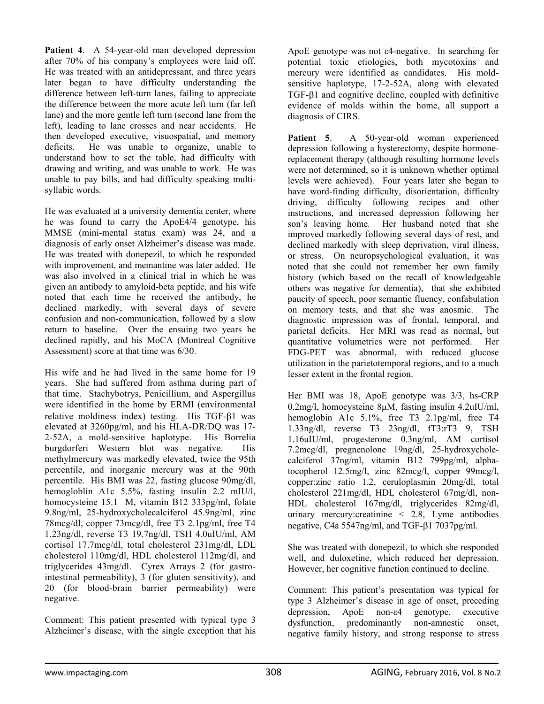Patient 4. A 54-year-old man developed depression after 70% of his company's employees were laid off. He was treated with an antidepressant, and three years later began to have difficulty understanding the difference between left-turn lanes, failing to appreciate the difference between the more acute left turn (far left lane) and the more gentle left turn (second lane from the left), leading to lane crosses and near accidents. He then developed executive, visuospatial, and memory deficits. He was unable to organize, unable to understand how to set the table, had difficulty with drawing and writing, and was unable to work. He was unable to pay bills, and had difficulty speaking multisyllabic words.

He was evaluated at a university dementia center, where he was found to carry the ApoE4/4 genotype, his MMSE (mini-mental status exam) was 24, and a diagnosis of early onset Alzheimer's disease was made. He was treated with donepezil, to which he responded with improvement, and memantine was later added. He was also involved in a clinical trial in which he was given an antibody to amyloid-beta peptide, and his wife noted that each time he received the antibody, he declined markedly, with several days of severe confusion and non-communication, followed by a slow return to baseline. Over the ensuing two years he declined rapidly, and his MoCA (Montreal Cognitive Assessment) score at that time was 6/30.

His wife and he had lived in the same home for 19 years. She had suffered from asthma during part of that time. Stachybotrys, Penicillium, and Aspergillus were identified in the home by ERMI (environmental relative moldiness index) testing. His TGF-β1 was elevated at 3260pg/ml, and his HLA-DR/DQ was 17- 2-52A, a mold-sensitive haplotype. His Borrelia burgdorferi Western blot was negative. His methylmercury was markedly elevated, twice the 95th percentile, and inorganic mercury was at the 90th percentile. His BMI was 22, fasting glucose 90mg/dl, hemogloblin A1c 5.5%, fasting insulin 2.2 mIU/l, homocysteine 15.1 M, vitamin B12 333pg/ml, folate 9.8ng/ml, 25-hydroxycholecalciferol 45.9ng/ml, zinc 78mcg/dl, copper 73mcg/dl, free T3 2.1pg/ml, free T4 1.23ng/dl, reverse T3 19.7ng/dl, TSH 4.0uIU/ml, AM cortisol 17.7mcg/dl, total cholesterol 231mg/dl, LDL cholesterol 110mg/dl, HDL cholesterol 112mg/dl, and triglycerides 43mg/dl. Cyrex Arrays 2 (for gastrointestinal permeability), 3 (for gluten sensitivity), and 20 (for blood-brain barrier permeability) were negative.

Comment: This patient presented with typical type 3 Alzheimer's disease, with the single exception that his

ApoE genotype was not ε4-negative. In searching for potential toxic etiologies, both mycotoxins and mercury were identified as candidates. His moldsensitive haplotype, 17-2-52A, along with elevated TGF-β1 and cognitive decline, coupled with definitive evidence of molds within the home, all support a diagnosis of CIRS.

Patient 5. A 50-year-old woman experienced depression following a hysterectomy, despite hormonereplacement therapy (although resulting hormone levels were not determined, so it is unknown whether optimal levels were achieved). Four years later she began to have word-finding difficulty, disorientation, difficulty driving, difficulty following recipes and other instructions, and increased depression following her son's leaving home. Her husband noted that she improved markedly following several days of rest, and declined markedly with sleep deprivation, viral illness, or stress. On neuropsychological evaluation, it was noted that she could not remember her own family history (which based on the recall of knowledgeable others was negative for dementia), that she exhibited paucity of speech, poor semantic fluency, confabulation on memory tests, and that she was anosmic. The diagnostic impression was of frontal, temporal, and parietal deficits. Her MRI was read as normal, but quantitative volumetrics were not performed. Her FDG-PET was abnormal, with reduced glucose utilization in the parietotemporal regions, and to a much lesser extent in the frontal region.

Her BMI was 18, ApoE genotype was 3/3, hs-CRP 0.2mg/l, homocysteine 8μM, fasting insulin 4.2uIU/ml, hemoglobin A1c 5.1%, free T3 2.1pg/ml, free T4 1.33ng/dl, reverse T3 23ng/dl, fT3:rT3 9, TSH 1.16uIU/ml, progesterone 0.3ng/ml, AM cortisol 7.2mcg/dl, pregnenolone 19ng/dl, 25-hydroxycholecalciferol 37ng/ml, vitamin B12 799pg/ml, alphatocopherol 12.5mg/l, zinc 82mcg/l, copper 99mcg/l, copper:zinc ratio 1.2, ceruloplasmin 20mg/dl, total cholesterol 221mg/dl, HDL cholesterol 67mg/dl, non-HDL cholesterol 167mg/dl, triglycerides 82mg/dl, urinary mercury:creatinine < 2.8, Lyme antibodies negative, C4a 5547ng/ml, and TGF-β1 7037pg/ml.

She was treated with donepezil, to which she responded well, and duloxetine, which reduced her depression. However, her cognitive function continued to decline.

Comment: This patient's presentation was typical for type 3 Alzheimer's disease in age of onset, preceding depression, ApoE non-ε4 genotype, executive dysfunction, predominantly non-amnestic onset, negative family history, and strong response to stress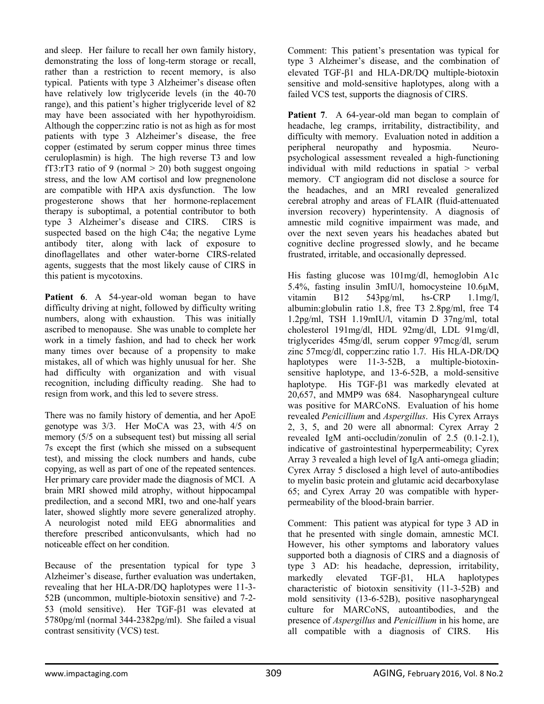and sleep. Her failure to recall her own family history, demonstrating the loss of long-term storage or recall, rather than a restriction to recent memory, is also typical. Patients with type 3 Alzheimer's disease often have relatively low triglyceride levels (in the 40-70 range), and this patient's higher triglyceride level of 82 may have been associated with her hypothyroidism. Although the copper:zinc ratio is not as high as for most patients with type 3 Alzheimer's disease, the free copper (estimated by serum copper minus three times ceruloplasmin) is high. The high reverse T3 and low fT3:rT3 ratio of 9 (normal  $>$  20) both suggest ongoing stress, and the low AM cortisol and low pregnenolone are compatible with HPA axis dysfunction. The low progesterone shows that her hormone-replacement therapy is suboptimal, a potential contributor to both type 3 Alzheimer's disease and CIRS. CIRS is suspected based on the high C4a; the negative Lyme antibody titer, along with lack of exposure to dinoflagellates and other water-borne CIRS-related agents, suggests that the most likely cause of CIRS in this patient is mycotoxins.

Patient 6. A 54-year-old woman began to have difficulty driving at night, followed by difficulty writing numbers, along with exhaustion. This was initially ascribed to menopause. She was unable to complete her work in a timely fashion, and had to check her work many times over because of a propensity to make mistakes, all of which was highly unusual for her. She had difficulty with organization and with visual recognition, including difficulty reading. She had to resign from work, and this led to severe stress.

There was no family history of dementia, and her ApoE genotype was 3/3. Her MoCA was 23, with 4/5 on memory (5/5 on a subsequent test) but missing all serial 7s except the first (which she missed on a subsequent test), and missing the clock numbers and hands, cube copying, as well as part of one of the repeated sentences. Her primary care provider made the diagnosis of MCI. A brain MRI showed mild atrophy, without hippocampal predilection, and a second MRI, two and one-half years later, showed slightly more severe generalized atrophy. A neurologist noted mild EEG abnormalities and therefore prescribed anticonvulsants, which had no noticeable effect on her condition.

Because of the presentation typical for type 3 Alzheimer's disease, further evaluation was undertaken, revealing that her HLA-DR/DQ haplotypes were 11-3- 52B (uncommon, multiple-biotoxin sensitive) and 7-2- 53 (mold sensitive). Her TGF-β1 was elevated at 5780pg/ml (normal 344-2382pg/ml). She failed a visual contrast sensitivity (VCS) test.

Comment: This patient's presentation was typical for type 3 Alzheimer's disease, and the combination of elevated TGF-β1 and HLA-DR/DQ multiple-biotoxin sensitive and mold-sensitive haplotypes, along with a failed VCS test, supports the diagnosis of CIRS.

Patient 7. A 64-year-old man began to complain of headache, leg cramps, irritability, distractibility, and difficulty with memory. Evaluation noted in addition a peripheral neuropathy and hyposmia. Neuropsychological assessment revealed a high-functioning individual with mild reductions in spatial  $>$  verbal memory. CT angiogram did not disclose a source for the headaches, and an MRI revealed generalized cerebral atrophy and areas of FLAIR (fluid-attenuated inversion recovery) hyperintensity. A diagnosis of amnestic mild cognitive impairment was made, and over the next seven years his headaches abated but cognitive decline progressed slowly, and he became frustrated, irritable, and occasionally depressed.

His fasting glucose was 101mg/dl, hemoglobin A1c 5.4%, fasting insulin 3mIU/l, homocysteine 10.6μM, vitamin B12 543pg/ml, hs-CRP 1.1mg/l, albumin:globulin ratio 1.8, free T3 2.8pg/ml, free T4 1.2pg/ml, TSH 1.19mIU/l, vitamin D 37ng/ml, total cholesterol 191mg/dl, HDL 92mg/dl, LDL 91mg/dl, triglycerides 45mg/dl, serum copper 97mcg/dl, serum zinc 57mcg/dl, copper:zinc ratio 1.7. His HLA-DR/DQ haplotypes were 11-3-52B, a multiple-biotoxinsensitive haplotype, and 13-6-52B, a mold-sensitive haplotype. His TGF-β1 was markedly elevated at 20,657, and MMP9 was 684. Nasopharyngeal culture was positive for MARCoNS. Evaluation of his home revealed *Penicillium* and *Aspergillus*. His Cyrex Arrays 2, 3, 5, and 20 were all abnormal: Cyrex Array 2 revealed IgM anti-occludin/zonulin of 2.5 (0.1-2.1), indicative of gastrointestinal hyperpermeability; Cyrex Array 3 revealed a high level of IgA anti-omega gliadin; Cyrex Array 5 disclosed a high level of auto-antibodies to myelin basic protein and glutamic acid decarboxylase 65; and Cyrex Array 20 was compatible with hyperpermeability of the blood-brain barrier.

Comment: This patient was atypical for type 3 AD in that he presented with single domain, amnestic MCI. However, his other symptoms and laboratory values supported both a diagnosis of CIRS and a diagnosis of type 3 AD: his headache, depression, irritability, markedly elevated TGF-β1, HLA haplotypes characteristic of biotoxin sensitivity (11-3-52B) and mold sensitivity (13-6-52B), positive nasopharyngeal culture for MARCoNS, autoantibodies, and the presence of *Aspergillus* and *Penicillium* in his home, are all compatible with a diagnosis of CIRS. His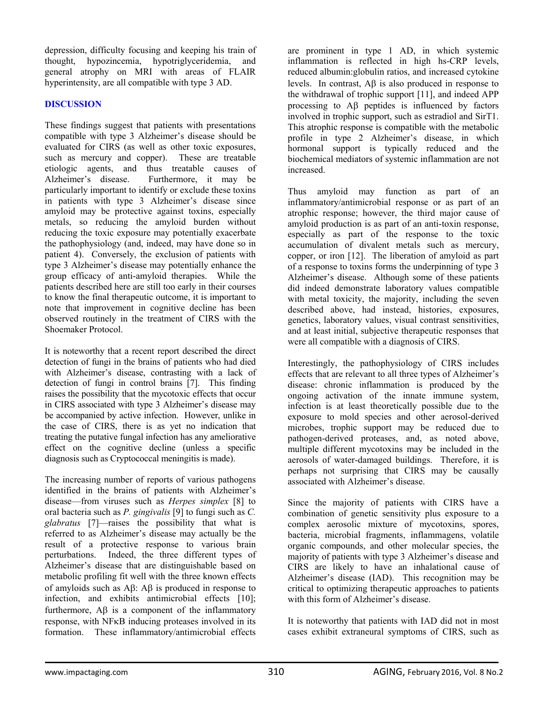depression, difficulty focusing and keeping his train of thought, hypozincemia, hypotriglyceridemia, and general atrophy on MRI with areas of FLAIR hyperintensity, are all compatible with type 3 AD.

### **DISCUSSION**

These findings suggest that patients with presentations compatible with type 3 Alzheimer's disease should be evaluated for CIRS (as well as other toxic exposures, such as mercury and copper). These are treatable etiologic agents, and thus treatable causes of Alzheimer's disease. Furthermore, it may be particularly important to identify or exclude these toxins in patients with type 3 Alzheimer's disease since amyloid may be protective against toxins, especially metals, so reducing the amyloid burden without reducing the toxic exposure may potentially exacerbate the pathophysiology (and, indeed, may have done so in patient 4). Conversely, the exclusion of patients with type 3 Alzheimer's disease may potentially enhance the group efficacy of anti-amyloid therapies. While the patients described here are still too early in their courses to know the final therapeutic outcome, it is important to note that improvement in cognitive decline has been observed routinely in the treatment of CIRS with the Shoemaker Protocol.

It is noteworthy that a recent report described the direct detection of fungi in the brains of patients who had died with Alzheimer's disease, contrasting with a lack of detection of fungi in control brains [7]. This finding raises the possibility that the mycotoxic effects that occur in CIRS associated with type 3 Alzheimer's disease may be accompanied by active infection. However, unlike in the case of CIRS, there is as yet no indication that treating the putative fungal infection has any ameliorative effect on the cognitive decline (unless a specific diagnosis such as Cryptococcal meningitis is made).

The increasing number of reports of various pathogens identified in the brains of patients with Alzheimer's disease—from viruses such as *Herpes simplex* [8] to oral bacteria such as *P. gingivalis* [9] to fungi such as *C. glabratus* [7]—raises the possibility that what is referred to as Alzheimer's disease may actually be the result of a protective response to various brain perturbations. Indeed, the three different types of Alzheimer's disease that are distinguishable based on metabolic profiling fit well with the three known effects of amyloids such as Aβ: Aβ is produced in response to infection, and exhibits antimicrobial effects [10]; furthermore,  $\overrightarrow{AB}$  is a component of the inflammatory response, with NFκB inducing proteases involved in its formation. These inflammatory/antimicrobial effects

are prominent in type 1 AD, in which systemic inflammation is reflected in high hs-CRP levels, reduced albumin:globulin ratios, and increased cytokine levels. In contrast, Aβ is also produced in response to the withdrawal of trophic support [11], and indeed APP processing to Aβ peptides is influenced by factors involved in trophic support, such as estradiol and SirT1. This atrophic response is compatible with the metabolic profile in type 2 Alzheimer's disease, in which hormonal support is typically reduced and the biochemical mediators of systemic inflammation are not increased.

Thus amyloid may function as part of an inflammatory/antimicrobial response or as part of an atrophic response; however, the third major cause of amyloid production is as part of an anti-toxin response, especially as part of the response to the toxic accumulation of divalent metals such as mercury, copper, or iron  $[12]$ . The liberation of amyloid as part of a response to toxins forms the underpinning of type 3 Alzheimer's disease. Although some of these patients did indeed demonstrate laboratory values compatible with metal toxicity, the majority, including the seven described above, had instead, histories, exposures, genetics, laboratory values, visual contrast sensitivities, and at least initial, subjective therapeutic responses that were all compatible with a diagnosis of CIRS.

Interestingly, the pathophysiology of CIRS includes effects that are relevant to all three types of Alzheimer's disease: chronic inflammation is produced by the ongoing activation of the innate immune system, infection is at least theoretically possible due to the exposure to mold species and other aerosol-derived microbes, trophic support may be reduced due to pathogen-derived proteases, and, as noted above, multiple different mycotoxins may be included in the aerosols of water-damaged buildings. Therefore, it is perhaps not surprising that CIRS may be causally associated with Alzheimer's disease.

Since the majority of patients with CIRS have a combination of genetic sensitivity plus exposure to a complex aerosolic mixture of mycotoxins, spores, bacteria, microbial fragments, inflammagens, volatile organic compounds, and other molecular species, the majority of patients with type 3 Alzheimer's disease and CIRS are likely to have an inhalational cause of Alzheimer's disease (IAD). This recognition may be critical to optimizing therapeutic approaches to patients with this form of Alzheimer's disease.

It is noteworthy that patients with IAD did not in most cases exhibit extraneural symptoms of CIRS, such as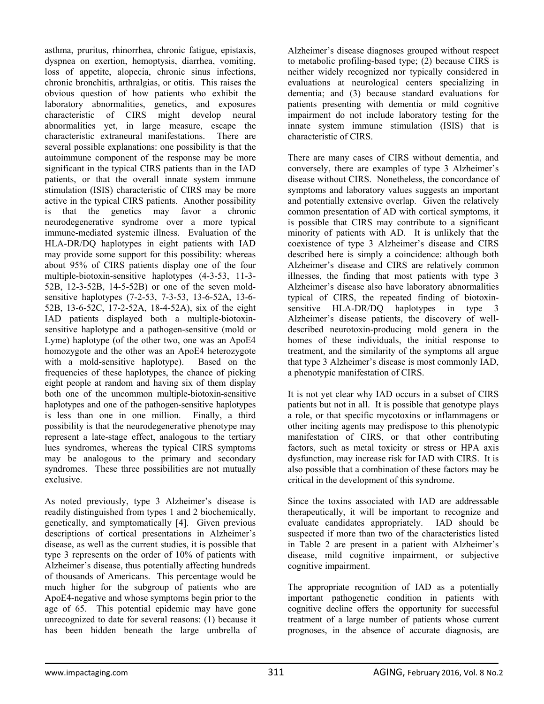asthma, pruritus, rhinorrhea, chronic fatigue, epistaxis, dyspnea on exertion, hemoptysis, diarrhea, vomiting, loss of appetite, alopecia, chronic sinus infections, chronic bronchitis, arthralgias, or otitis. This raises the obvious question of how patients who exhibit the laboratory abnormalities, genetics, and exposures characteristic of CIRS might develop neural abnormalities yet, in large measure, escape the characteristic extraneural manifestations. There are several possible explanations: one possibility is that the autoimmune component of the response may be more significant in the typical CIRS patients than in the IAD patients, or that the overall innate system immune stimulation (ISIS) characteristic of CIRS may be more active in the typical CIRS patients. Another possibility is that the genetics may favor a chronic neurodegenerative syndrome over a more typical immune-mediated systemic illness. Evaluation of the HLA-DR/DQ haplotypes in eight patients with IAD may provide some support for this possibility: whereas about 95% of CIRS patients display one of the four multiple-biotoxin-sensitive haplotypes (4-3-53, 11-3- 52B, 12-3-52B, 14-5-52B) or one of the seven moldsensitive haplotypes (7-2-53, 7-3-53, 13-6-52A, 13-6- 52B, 13-6-52C, 17-2-52A, 18-4-52A), six of the eight IAD patients displayed both a multiple-biotoxinsensitive haplotype and a pathogen-sensitive (mold or Lyme) haplotype (of the other two, one was an ApoE4 homozygote and the other was an ApoE4 heterozygote with a mold-sensitive haplotype). Based on the frequencies of these haplotypes, the chance of picking eight people at random and having six of them display both one of the uncommon multiple-biotoxin-sensitive haplotypes and one of the pathogen-sensitive haplotypes is less than one in one million. Finally, a third possibility is that the neurodegenerative phenotype may represent a late-stage effect, analogous to the tertiary lues syndromes, whereas the typical CIRS symptoms may be analogous to the primary and secondary syndromes. These three possibilities are not mutually exclusive.

As noted previously, type 3 Alzheimer's disease is readily distinguished from types 1 and 2 biochemically, genetically, and symptomatically [4]. Given previous descriptions of cortical presentations in Alzheimer's disease, as well as the current studies, it is possible that type 3 represents on the order of 10% of patients with Alzheimer's disease, thus potentially affecting hundreds of thousands of Americans. This percentage would be much higher for the subgroup of patients who are ApoE4-negative and whose symptoms begin prior to the age of 65. This potential epidemic may have gone unrecognized to date for several reasons: (1) because it has been hidden beneath the large umbrella of

Alzheimer's disease diagnoses grouped without respect to metabolic profiling-based type; (2) because CIRS is neither widely recognized nor typically considered in evaluations at neurological centers specializing in dementia; and (3) because standard evaluations for patients presenting with dementia or mild cognitive impairment do not include laboratory testing for the innate system immune stimulation (ISIS) that is characteristic of CIRS.

There are many cases of CIRS without dementia, and conversely, there are examples of type 3 Alzheimer's disease without CIRS. Nonetheless, the concordance of symptoms and laboratory values suggests an important and potentially extensive overlap. Given the relatively common presentation of AD with cortical symptoms, it is possible that CIRS may contribute to a significant minority of patients with AD. It is unlikely that the coexistence of type 3 Alzheimer's disease and CIRS described here is simply a coincidence: although both Alzheimer's disease and CIRS are relatively common illnesses, the finding that most patients with type 3 Alzheimer's disease also have laboratory abnormalities typical of CIRS, the repeated finding of biotoxinsensitive HLA-DR/DQ haplotypes in type 3 Alzheimer's disease patients, the discovery of welldescribed neurotoxin-producing mold genera in the homes of these individuals, the initial response to treatment, and the similarity of the symptoms all argue that type 3 Alzheimer's disease is most commonly IAD, a phenotypic manifestation of CIRS.

It is not yet clear why IAD occurs in a subset of CIRS patients but not in all. It is possible that genotype plays a role, or that specific mycotoxins or inflammagens or other inciting agents may predispose to this phenotypic manifestation of CIRS, or that other contributing factors, such as metal toxicity or stress or HPA axis dysfunction, may increase risk for IAD with CIRS. It is also possible that a combination of these factors may be critical in the development of this syndrome.

Since the toxins associated with IAD are addressable therapeutically, it will be important to recognize and evaluate candidates appropriately. IAD should be suspected if more than two of the characteristics listed in Table 2 are present in a patient with Alzheimer's disease, mild cognitive impairment, or subjective cognitive impairment.

The appropriate recognition of IAD as a potentially important pathogenetic condition in patients with cognitive decline offers the opportunity for successful treatment of a large number of patients whose current prognoses, in the absence of accurate diagnosis, are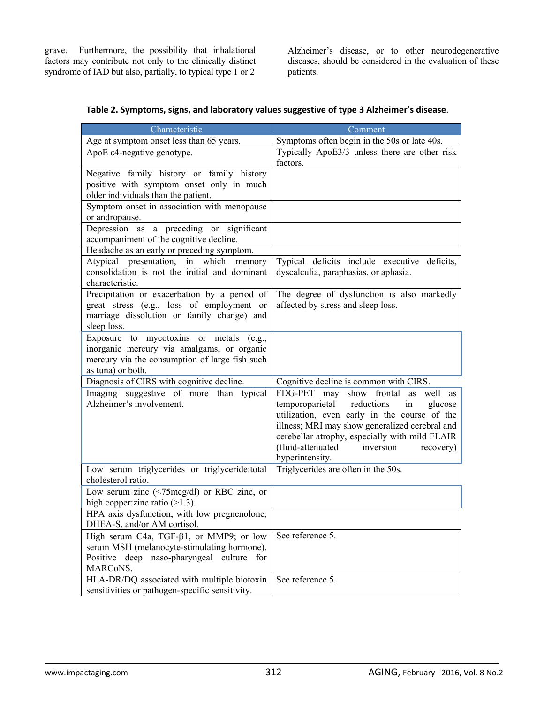grave. Furthermore, the possibility that inhalational factors may contribute not only to the clinically distinct syndrome of IAD but also, partially, to typical type 1 or 2

Alzheimer's disease, or to other neurodegenerative diseases, should be considered in the evaluation of these patients.

| Characteristic                                                                                                                                               | Comment                                                                                                                                                                                                                                                                                                           |  |
|--------------------------------------------------------------------------------------------------------------------------------------------------------------|-------------------------------------------------------------------------------------------------------------------------------------------------------------------------------------------------------------------------------------------------------------------------------------------------------------------|--|
| Age at symptom onset less than 65 years.                                                                                                                     | Symptoms often begin in the 50s or late 40s.                                                                                                                                                                                                                                                                      |  |
| ApoE ε4-negative genotype.                                                                                                                                   | Typically ApoE3/3 unless there are other risk<br>factors.                                                                                                                                                                                                                                                         |  |
| Negative family history or family history<br>positive with symptom onset only in much<br>older individuals than the patient.                                 |                                                                                                                                                                                                                                                                                                                   |  |
| Symptom onset in association with menopause<br>or andropause.                                                                                                |                                                                                                                                                                                                                                                                                                                   |  |
| Depression as a preceding or significant<br>accompaniment of the cognitive decline.                                                                          |                                                                                                                                                                                                                                                                                                                   |  |
| Headache as an early or preceding symptom.                                                                                                                   |                                                                                                                                                                                                                                                                                                                   |  |
| Atypical presentation, in which memory<br>consolidation is not the initial and dominant<br>characteristic.                                                   | Typical deficits include executive deficits,<br>dyscalculia, paraphasias, or aphasia.                                                                                                                                                                                                                             |  |
| Precipitation or exacerbation by a period of<br>great stress (e.g., loss of employment or<br>marriage dissolution or family change) and<br>sleep loss.       | The degree of dysfunction is also markedly<br>affected by stress and sleep loss.                                                                                                                                                                                                                                  |  |
| Exposure to mycotoxins or metals (e.g.,<br>inorganic mercury via amalgams, or organic<br>mercury via the consumption of large fish such<br>as tuna) or both. |                                                                                                                                                                                                                                                                                                                   |  |
| Diagnosis of CIRS with cognitive decline.                                                                                                                    | Cognitive decline is common with CIRS.                                                                                                                                                                                                                                                                            |  |
| Imaging suggestive of more than typical<br>Alzheimer's involvement.                                                                                          | FDG-PET may show frontal<br>well as<br>as<br>temporoparietal<br>reductions<br>in<br>glucose<br>utilization, even early in the course of the<br>illness; MRI may show generalized cerebral and<br>cerebellar atrophy, especially with mild FLAIR<br>(fluid-attenuated<br>inversion<br>recovery)<br>hyperintensity. |  |
| Low serum triglycerides or triglyceride:total<br>cholesterol ratio.                                                                                          | Triglycerides are often in the 50s.                                                                                                                                                                                                                                                                               |  |
| Low serum zinc $(\leq 75 \text{mcg/dl})$ or RBC zinc, or<br>high copper: zinc ratio $(>1.3)$ .                                                               |                                                                                                                                                                                                                                                                                                                   |  |
| HPA axis dysfunction, with low pregnenolone,<br>DHEA-S, and/or AM cortisol.                                                                                  |                                                                                                                                                                                                                                                                                                                   |  |
| High serum C4a, TGF- $\beta$ 1, or MMP9; or low<br>serum MSH (melanocyte-stimulating hormone).<br>Positive deep naso-pharyngeal culture for<br>MARCoNS.      | See reference 5.                                                                                                                                                                                                                                                                                                  |  |
| HLA-DR/DQ associated with multiple biotoxin<br>sensitivities or pathogen-specific sensitivity.                                                               | See reference 5.                                                                                                                                                                                                                                                                                                  |  |